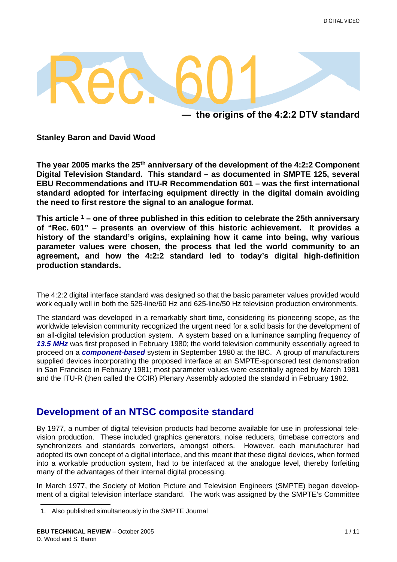

**— the origins of the 4:2:2 DTV standard**

**Stanley Baron and David Wood**

**The year 2005 marks the 25th anniversary of the development of the 4:2:2 Component Digital Television Standard. This standard – as documented in SMPTE 125, several EBU Recommendations and ITU-R Recommendation 601 – was the first international standard adopted for interfacing equipment directly in the digital domain avoiding the need to first restore the signal to an analogue format.**

**This article 1 – one of three published in this edition to celebrate the 25th anniversary of "Rec. 601" – presents an overview of this historic achievement. It provides a history of the standard's origins, explaining how it came into being, why various parameter values were chosen, the process that led the world community to an agreement, and how the 4:2:2 standard led to today's digital high-definition production standards.**

The 4:2:2 digital interface standard was designed so that the basic parameter values provided would work equally well in both the 525-line/60 Hz and 625-line/50 Hz television production environments.

The standard was developed in a remarkably short time, considering its pioneering scope, as the worldwide television community recognized the urgent need for a solid basis for the development of an all-digital television production system. A system based on a luminance sampling frequency of *13.5 MHz* was first proposed in February 1980; the world television community essentially agreed to proceed on a *component-based* system in September 1980 at the IBC. A group of manufacturers supplied devices incorporating the proposed interface at an SMPTE-sponsored test demonstration in San Francisco in February 1981; most parameter values were essentially agreed by March 1981 and the ITU-R (then called the CCIR) Plenary Assembly adopted the standard in February 1982.

# **Development of an NTSC composite standard**

By 1977, a number of digital television products had become available for use in professional television production. These included graphics generators, noise reducers, timebase correctors and synchronizers and standards converters, amongst others. However, each manufacturer had adopted its own concept of a digital interface, and this meant that these digital devices, when formed into a workable production system, had to be interfaced at the analogue level, thereby forfeiting many of the advantages of their internal digital processing.

In March 1977, the Society of Motion Picture and Television Engineers (SMPTE) began development of a digital television interface standard. The work was assigned by the SMPTE's Committee

<sup>1.</sup> Also published simultaneously in the SMPTE Journal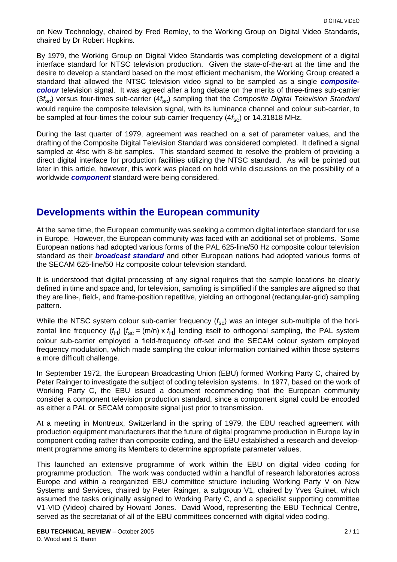on New Technology, chaired by Fred Remley, to the Working Group on Digital Video Standards, chaired by Dr Robert Hopkins.

By 1979, the Working Group on Digital Video Standards was completing development of a digital interface standard for NTSC television production. Given the state-of-the-art at the time and the desire to develop a standard based on the most efficient mechanism, the Working Group created a standard that allowed the NTSC television video signal to be sampled as a single *compositecolour* television signal. It was agreed after a long debate on the merits of three-times sub-carrier (3*f*sc) versus four-times sub-carrier (4*f*sc) sampling that the *Composite Digital Television Standard* would require the composite television signal, with its luminance channel and colour sub-carrier, to be sampled at four-times the colour sub-carrier frequency  $(4f_{\rm sc})$  or 14.31818 MHz.

During the last quarter of 1979, agreement was reached on a set of parameter values, and the drafting of the Composite Digital Television Standard was considered completed. It defined a signal sampled at 4fsc with 8-bit samples. This standard seemed to resolve the problem of providing a direct digital interface for production facilities utilizing the NTSC standard. As will be pointed out later in this article, however, this work was placed on hold while discussions on the possibility of a worldwide *component* standard were being considered.

### **Developments within the European community**

At the same time, the European community was seeking a common digital interface standard for use in Europe. However, the European community was faced with an additional set of problems. Some European nations had adopted various forms of the PAL 625-line/50 Hz composite colour television standard as their *broadcast standard* and other European nations had adopted various forms of the SECAM 625-line/50 Hz composite colour television standard.

It is understood that digital processing of any signal requires that the sample locations be clearly defined in time and space and, for television, sampling is simplified if the samples are aligned so that they are line-, field-, and frame-position repetitive, yielding an orthogonal (rectangular-grid) sampling pattern.

While the NTSC system colour sub-carrier frequency ( $f_{\text{sc}}$ ) was an integer sub-multiple of the horizontal line frequency  $(f_H)$   $[f_{sc} = (m/n) \times f_H]$  lending itself to orthogonal sampling, the PAL system colour sub-carrier employed a field-frequency off-set and the SECAM colour system employed frequency modulation, which made sampling the colour information contained within those systems a more difficult challenge.

In September 1972, the European Broadcasting Union (EBU) formed Working Party C, chaired by Peter Rainger to investigate the subject of coding television systems. In 1977, based on the work of Working Party C, the EBU issued a document recommending that the European community consider a component television production standard, since a component signal could be encoded as either a PAL or SECAM composite signal just prior to transmission.

At a meeting in Montreux, Switzerland in the spring of 1979, the EBU reached agreement with production equipment manufacturers that the future of digital programme production in Europe lay in component coding rather than composite coding, and the EBU established a research and development programme among its Members to determine appropriate parameter values.

This launched an extensive programme of work within the EBU on digital video coding for programme production. The work was conducted within a handful of research laboratories across Europe and within a reorganized EBU committee structure including Working Party V on New Systems and Services, chaired by Peter Rainger, a subgroup V1, chaired by Yves Guinet, which assumed the tasks originally assigned to Working Party C, and a specialist supporting committee V1-VID (Video) chaired by Howard Jones. David Wood, representing the EBU Technical Centre, served as the secretariat of all of the EBU committees concerned with digital video coding.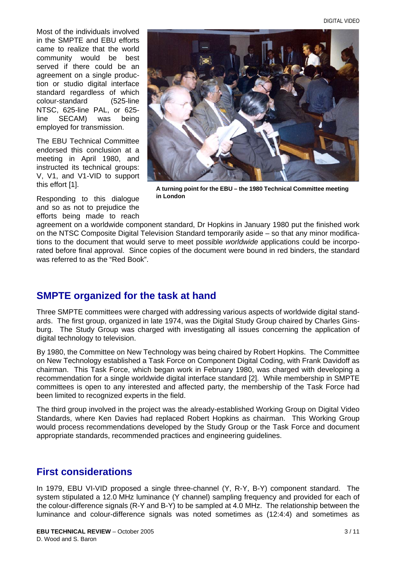Most of the individuals involved in the SMPTE and EBU efforts came to realize that the world community would be best served if there could be an agreement on a single production or studio digital interface standard regardless of which colour-standard (525-line NTSC, 625-line PAL, or 625 line SECAM) was being employed for transmission.

The EBU Technical Committee endorsed this conclusion at a meeting in April 1980, and instructed its technical groups: V, V1, and V1-VID to support this effort [\[1\]](#page-9-0).

Responding to this dialogue and so as not to prejudice the efforts being made to reach



**A turning point for the EBU – the 1980 Technical Committee meeting in London**

agreement on a worldwide component standard, Dr Hopkins in January 1980 put the finished work on the NTSC Composite Digital Television Standard temporarily aside – so that any minor modifications to the document that would serve to meet possible *worldwide* applications could be incorporated before final approval. Since copies of the document were bound in red binders, the standard was referred to as the "Red Book".

# **SMPTE organized for the task at hand**

Three SMPTE committees were charged with addressing various aspects of worldwide digital standards. The first group, organized in late 1974, was the Digital Study Group chaired by Charles Ginsburg. The Study Group was charged with investigating all issues concerning the application of digital technology to television.

By 1980, the Committee on New Technology was being chaired by Robert Hopkins. The Committee on New Technology established a Task Force on Component Digital Coding, with Frank Davidoff as chairman. This Task Force, which began work in February 1980, was charged with developing a recommendation for a single worldwide digital interface standard [\[2\]](#page-9-1). While membership in SMPTE committees is open to any interested and affected party, the membership of the Task Force had been limited to recognized experts in the field.

The third group involved in the project was the already-established Working Group on Digital Video Standards, where Ken Davies had replaced Robert Hopkins as chairman. This Working Group would process recommendations developed by the Study Group or the Task Force and document appropriate standards, recommended practices and engineering guidelines.

# **First considerations**

In 1979, EBU VI-VID proposed a single three-channel (Y, R-Y, B-Y) component standard. The system stipulated a 12.0 MHz luminance (Y channel) sampling frequency and provided for each of the colour-difference signals (R-Y and B-Y) to be sampled at 4.0 MHz. The relationship between the luminance and colour-difference signals was noted sometimes as (12:4:4) and sometimes as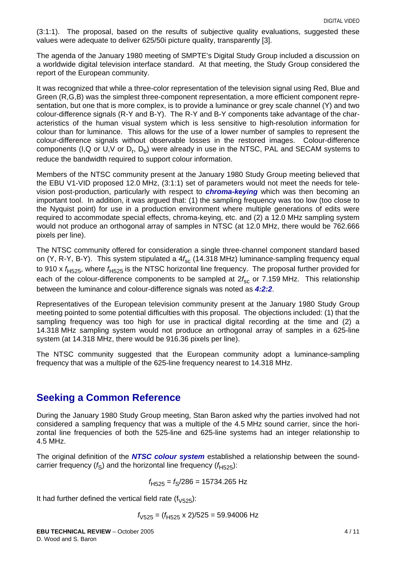(3:1:1). The proposal, based on the results of subjective quality evaluations, suggested these values were adequate to deliver 625/50i picture quality, transparently [\[3\].](#page-10-0)

The agenda of the January 1980 meeting of SMPTE's Digital Study Group included a discussion on a worldwide digital television interface standard. At that meeting, the Study Group considered the report of the European community.

It was recognized that while a three-color representation of the television signal using Red, Blue and Green (R,G,B) was the simplest three-component representation, a more efficient component representation, but one that is more complex, is to provide a luminance or grey scale channel (Y) and two colour-difference signals (R-Y and B-Y). The R-Y and B-Y components take advantage of the characteristics of the human visual system which is less sensitive to high-resolution information for colour than for luminance. This allows for the use of a lower number of samples to represent the colour-difference signals without observable losses in the restored images. Colour-difference components (I,Q or U,V or  $D_r$ ,  $D_b$ ) were already in use in the NTSC, PAL and SECAM systems to reduce the bandwidth required to support colour information.

Members of the NTSC community present at the January 1980 Study Group meeting believed that the EBU V1-VID proposed 12.0 MHz, (3:1:1) set of parameters would not meet the needs for television post-production, particularly with respect to *chroma-keying* which was then becoming an important tool. In addition, it was argued that: (1) the sampling frequency was too low (too close to the Nyquist point) for use in a production environment where multiple generations of edits were required to accommodate special effects, chroma-keying, etc. and (2) a 12.0 MHz sampling system would not produce an orthogonal array of samples in NTSC (at 12.0 MHz, there would be 762.666 pixels per line).

The NTSC community offered for consideration a single three-channel component standard based on (Y, R-Y, B-Y). This system stipulated a 4f<sub>sc</sub> (14.318 MHz) luminance-sampling frequency equal to 910 x  $f_{H525}$ , where  $f_{H525}$  is the NTSC horizontal line frequency. The proposal further provided for each of the colour-difference components to be sampled at 2f<sub>sc</sub> or 7.159 MHz. This relationship between the luminance and colour-difference signals was noted as *4:2:2*.

Representatives of the European television community present at the January 1980 Study Group meeting pointed to some potential difficulties with this proposal. The objections included: (1) that the sampling frequency was too high for use in practical digital recording at the time and (2) a 14.318 MHz sampling system would not produce an orthogonal array of samples in a 625-line system (at 14.318 MHz, there would be 916.36 pixels per line).

The NTSC community suggested that the European community adopt a luminance-sampling frequency that was a multiple of the 625-line frequency nearest to 14.318 MHz.

### **Seeking a Common Reference**

During the January 1980 Study Group meeting, Stan Baron asked why the parties involved had not considered a sampling frequency that was a multiple of the 4.5 MHz sound carrier, since the horizontal line frequencies of both the 525-line and 625-line systems had an integer relationship to 4.5 MHz.

The original definition of the *NTSC colour system* established a relationship between the soundcarrier frequency  $(f_S)$  and the horizontal line frequency  $(f_{H525})$ :

$$
f_{\text{H525}} = f_{\text{S}}/286 = 15734.265 \text{ Hz}
$$

It had further defined the vertical field rate  $(f_{\sqrt{525}})$ :

$$
f_{\textrm{V525}}=(f_{\textrm{H525}}\times2)/525=59.94006\ \textrm{Hz}
$$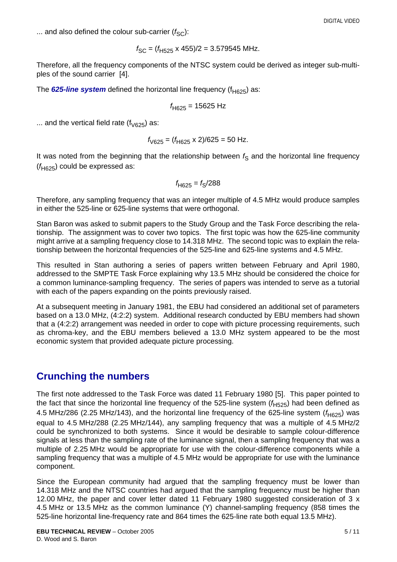... and also defined the colour sub-carrier  $(f_{SC})$ :

$$
f_{\text{SC}} = (f_{\text{H525}} \times 455)/2 = 3.579545 \text{ MHz}.
$$

Therefore, all the frequency components of the NTSC system could be derived as integer sub-multiples of the sound carrier [\[4\]](#page-10-1).

The **625-line system** defined the horizontal line frequency ( $f<sub>H625</sub>$ ) as:

$$
f_{H625} = 15625 \text{ Hz}
$$

... and the vertical field rate  $(f_{\sqrt{625}})$  as:

$$
f_{\sqrt{625}} = (f_{\sqrt{625}} \times 2)/625 = 50 \text{ Hz}.
$$

It was noted from the beginning that the relationship between  $f<sub>S</sub>$  and the horizontal line frequency  $(f<sub>H625</sub>)$  could be expressed as:

$$
f_{\sf H625}=f_{\sf S}/288
$$

Therefore, any sampling frequency that was an integer multiple of 4.5 MHz would produce samples in either the 525-line or 625-line systems that were orthogonal.

Stan Baron was asked to submit papers to the Study Group and the Task Force describing the relationship. The assignment was to cover two topics. The first topic was how the 625-line community might arrive at a sampling frequency close to 14.318 MHz. The second topic was to explain the relationship between the horizontal frequencies of the 525-line and 625-line systems and 4.5 MHz.

This resulted in Stan authoring a series of papers written between February and April 1980, addressed to the SMPTE Task Force explaining why 13.5 MHz should be considered the choice for a common luminance-sampling frequency. The series of papers was intended to serve as a tutorial with each of the papers expanding on the points previously raised.

At a subsequent meeting in January 1981, the EBU had considered an additional set of parameters based on a 13.0 MHz, (4:2:2) system. Additional research conducted by EBU members had shown that a (4:2:2) arrangement was needed in order to cope with picture processing requirements, such as chroma-key, and the EBU members believed a 13.0 MHz system appeared to be the most economic system that provided adequate picture processing.

# **Crunching the numbers**

The first note addressed to the Task Force was dated 11 February 1980 [\[5\].](#page-10-2) This paper pointed to the fact that since the horizontal line frequency of the 525-line system  $(f_{H525})$  had been defined as 4.5 MHz/286 (2.25 MHz/143), and the horizontal line frequency of the 625-line system  $(f<sub>H625</sub>)$  was equal to 4.5 MHz/288 (2.25 MHz/144), any sampling frequency that was a multiple of 4.5 MHz/2 could be synchronized to both systems. Since it would be desirable to sample colour-difference signals at less than the sampling rate of the luminance signal, then a sampling frequency that was a multiple of 2.25 MHz would be appropriate for use with the colour-difference components while a sampling frequency that was a multiple of 4.5 MHz would be appropriate for use with the luminance component.

Since the European community had argued that the sampling frequency must be lower than 14.318 MHz and the NTSC countries had argued that the sampling frequency must be higher than 12.00 MHz, the paper and cover letter dated 11 February 1980 suggested consideration of 3 x 4.5 MHz or 13.5 MHz as the common luminance (Y) channel-sampling frequency (858 times the 525-line horizontal line-frequency rate and 864 times the 625-line rate both equal 13.5 MHz).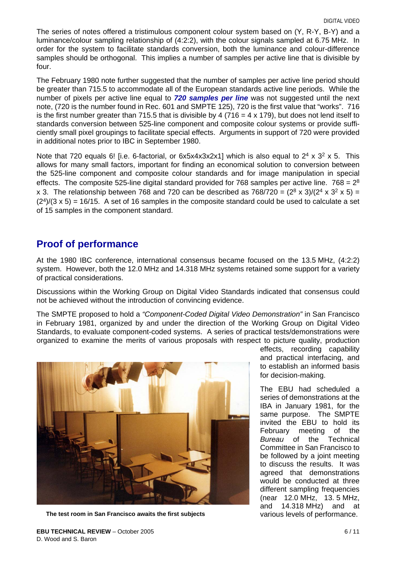The series of notes offered a tristimulous component colour system based on (Y, R-Y, B-Y) and a luminance/colour sampling relationship of (4:2:2), with the colour signals sampled at 6.75 MHz. In order for the system to facilitate standards conversion, both the luminance and colour-difference samples should be orthogonal. This implies a number of samples per active line that is divisible by four.

The February 1980 note further suggested that the number of samples per active line period should be greater than 715.5 to accommodate all of the European standards active line periods. While the number of pixels per active line equal to *720 samples per line* was not suggested until the next note, (720 is the number found in Rec. 601 and SMPTE 125), 720 is the first value that "works". 716 is the first number greater than 715.5 that is divisible by 4 (716 = 4 x 179), but does not lend itself to standards conversion between 525-line component and composite colour systems or provide sufficiently small pixel groupings to facilitate special effects. Arguments in support of 720 were provided in additional notes prior to IBC in September 1980.

Note that 720 equals 6! [i.e. 6-factorial, or  $6x5x4x3x2x1$ ] which is also equal to  $2^4 \times 3^2 \times 5$ . This allows for many small factors, important for finding an economical solution to conversion between the 525-line component and composite colour standards and for image manipulation in special effects. The composite 525-line digital standard provided for 768 samples per active line. 768 =  $2^8$ x 3. The relationship between 768 and 720 can be described as 768/720 =  $(2^8 \times 3)/(2^4 \times 3^2 \times 5)$  =  $(2<sup>4</sup>)/(3 x 5) = 16/15$ . A set of 16 samples in the composite standard could be used to calculate a set of 15 samples in the component standard.

### **Proof of performance**

At the 1980 IBC conference, international consensus became focused on the 13.5 MHz, (4:2:2) system. However, both the 12.0 MHz and 14.318 MHz systems retained some support for a variety of practical considerations.

Discussions within the Working Group on Digital Video Standards indicated that consensus could not be achieved without the introduction of convincing evidence.

The SMPTE proposed to hold a *"Component-Coded Digital Video Demonstration"* in San Francisco in February 1981, organized by and under the direction of the Working Group on Digital Video Standards, to evaluate component-coded systems. A series of practical tests/demonstrations were organized to examine the merits of various proposals with respect to picture quality, production



The test room in San Francisco awaits the first subjects various levels of performance.

effects, recording capability and practical interfacing, and to establish an informed basis for decision-making.

The EBU had scheduled a series of demonstrations at the IBA in January 1981, for the same purpose. The SMPTE invited the EBU to hold its February meeting of the *Bureau* of the Technical Committee in San Francisco to be followed by a joint meeting to discuss the results. It was agreed that demonstrations would be conducted at three different sampling frequencies (near 12.0 MHz, 13. 5 MHz, and 14.318 MHz) and at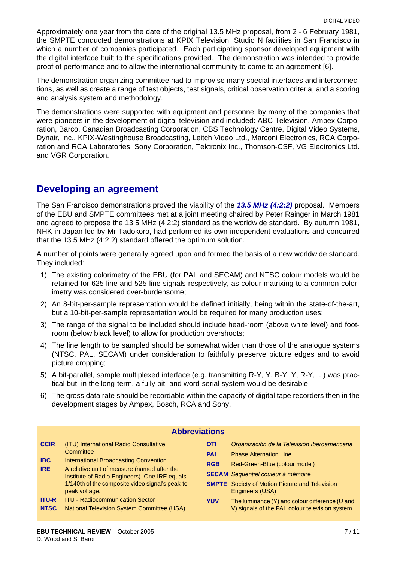Approximately one year from the date of the original 13.5 MHz proposal, from 2 - 6 February 1981, the SMPTE conducted demonstrations at KPIX Television, Studio N facilities in San Francisco in which a number of companies participated. Each participating sponsor developed equipment with the digital interface built to the specifications provided. The demonstration was intended to provide proof of performance and to allow the international community to come to an agreement [\[6\]](#page-10-3).

The demonstration organizing committee had to improvise many special interfaces and interconnections, as well as create a range of test objects, test signals, critical observation criteria, and a scoring and analysis system and methodology.

The demonstrations were supported with equipment and personnel by many of the companies that were pioneers in the development of digital television and included: ABC Television, Ampex Corporation, Barco, Canadian Broadcasting Corporation, CBS Technology Centre, Digital Video Systems, Dynair, Inc., KPIX-Westinghouse Broadcasting, Leitch Video Ltd., Marconi Electronics, RCA Corporation and RCA Laboratories, Sony Corporation, Tektronix Inc., Thomson-CSF, VG Electronics Ltd. and VGR Corporation.

### **Developing an agreement**

The San Francisco demonstrations proved the viability of the *13.5 MHz (4:2:2)* proposal. Members of the EBU and SMPTE committees met at a joint meeting chaired by Peter Rainger in March 1981 and agreed to propose the 13.5 MHz (4:2:2) standard as the worldwide standard. By autumn 1981, NHK in Japan led by Mr Tadokoro, had performed its own independent evaluations and concurred that the 13.5 MHz (4:2:2) standard offered the optimum solution.

A number of points were generally agreed upon and formed the basis of a new worldwide standard. They included:

- 1) The existing colorimetry of the EBU (for PAL and SECAM) and NTSC colour models would be retained for 625-line and 525-line signals respectively, as colour matrixing to a common colorimetry was considered over-burdensome;
- 2) An 8-bit-per-sample representation would be defined initially, being within the state-of-the-art, but a 10-bit-per-sample representation would be required for many production uses;
- 3) The range of the signal to be included should include head-room (above white level) and footroom (below black level) to allow for production overshoots;
- 4) The line length to be sampled should be somewhat wider than those of the analogue systems (NTSC, PAL, SECAM) under consideration to faithfully preserve picture edges and to avoid picture cropping;
- 5) A bit-parallel, sample multiplexed interface (e.g. transmitting R-Y, Y, B-Y, Y, R-Y, ...) was practical but, in the long-term, a fully bit- and word-serial system would be desirable;
- 6) The gross data rate should be recordable within the capacity of digital tape recorders then in the development stages by Ampex, Bosch, RCA and Sony.

| <b>Abbreviations</b>        |                                                                                                                                                                                                            |                          |                                                                                                  |
|-----------------------------|------------------------------------------------------------------------------------------------------------------------------------------------------------------------------------------------------------|--------------------------|--------------------------------------------------------------------------------------------------|
| <b>CCIR</b>                 | (ITU) International Radio Consultative<br>Committee                                                                                                                                                        | <b>OTI</b><br><b>PAL</b> | Organización de la Televisión Iberoamericana<br><b>Phase Alternation Line</b>                    |
| <b>IBC</b><br><b>IRE</b>    | International Broadcasting Convention<br>A relative unit of measure (named after the<br>Institute of Radio Engineers). One IRE equals<br>1/140th of the composite video signal's peak-to-<br>peak voltage. | <b>RGB</b>               | Red-Green-Blue (colour model)<br><b>SECAM</b> Séquentiel couleur à mémoire                       |
|                             |                                                                                                                                                                                                            |                          | <b>SMPTE</b> Society of Motion Picture and Television<br>Engineers (USA)                         |
| <b>ITU-R</b><br><b>NTSC</b> | <b>ITU - Radiocommunication Sector</b><br><b>National Television System Committee (USA)</b>                                                                                                                | <b>YUV</b>               | The luminance (Y) and colour difference (U and<br>V) signals of the PAL colour television system |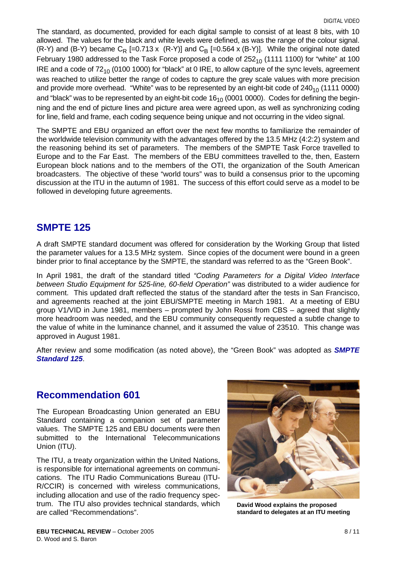The standard, as documented, provided for each digital sample to consist of at least 8 bits, with 10 allowed. The values for the black and white levels were defined, as was the range of the colour signal. (R-Y) and (B-Y) became  $C_R$  [=0.713 x (R-Y)] and  $C_B$  [=0.564 x (B-Y)]. While the original note dated February 1980 addressed to the Task Force proposed a code of  $252_{10}$  (1111 1100) for "white" at 100 IRE and a code of  $72_{10}$  (0100 1000) for "black" at 0 IRE, to allow capture of the sync levels, agreement was reached to utilize better the range of codes to capture the grey scale values with more precision and provide more overhead. "White" was to be represented by an eight-bit code of  $240_{10}$  (1111 0000) and "black" was to be represented by an eight-bit code  $16<sub>10</sub>$  (0001 0000). Codes for defining the beginning and the end of picture lines and picture area were agreed upon, as well as synchronizing coding for line, field and frame, each coding sequence being unique and not occurring in the video signal.

The SMPTE and EBU organized an effort over the next few months to familiarize the remainder of the worldwide television community with the advantages offered by the 13.5 MHz (4:2:2) system and the reasoning behind its set of parameters. The members of the SMPTE Task Force travelled to Europe and to the Far East. The members of the EBU committees travelled to the, then, Eastern European block nations and to the members of the OTI, the organization of the South American broadcasters. The objective of these "world tours" was to build a consensus prior to the upcoming discussion at the ITU in the autumn of 1981. The success of this effort could serve as a model to be followed in developing future agreements.

### **SMPTE 125**

A draft SMPTE standard document was offered for consideration by the Working Group that listed the parameter values for a 13.5 MHz system. Since copies of the document were bound in a green binder prior to final acceptance by the SMPTE, the standard was referred to as the "Green Book".

In April 1981, the draft of the standard titled *"Coding Parameters for a Digital Video Interface between Studio Equipment for 525-line, 60-field Operation"* was distributed to a wider audience for comment. This updated draft reflected the status of the standard after the tests in San Francisco, and agreements reached at the joint EBU/SMPTE meeting in March 1981. At a meeting of EBU group V1/VID in June 1981, members – prompted by John Rossi from CBS – agreed that slightly more headroom was needed, and the EBU community consequently requested a subtle change to the value of white in the luminance channel, and it assumed the value of 23510. This change was approved in August 1981.

After review and some modification (as noted above), the "Green Book" was adopted as *SMPTE Standard 125*.

# **Recommendation 601**

The European Broadcasting Union generated an EBU Standard containing a companion set of parameter values. The SMPTE 125 and EBU documents were then submitted to the International Telecommunications Union (ITU).

The ITU, a treaty organization within the United Nations, is responsible for international agreements on communications. The ITU Radio Communications Bureau (ITU-R/CCIR) is concerned with wireless communications, including allocation and use of the radio frequency spectrum. The ITU also provides technical standards, which are called "Recommendations".



**David Wood explains the proposed standard to delegates at an ITU meeting**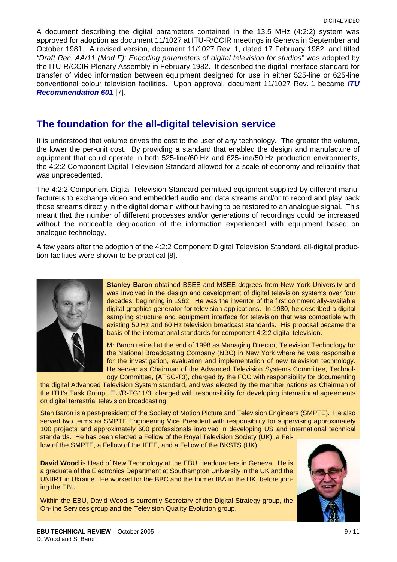A document describing the digital parameters contained in the 13.5 MHz (4:2:2) system was approved for adoption as document 11/1027 at ITU-R/CCIR meetings in Geneva in September and October 1981. A revised version, document 11/1027 Rev. 1, dated 17 February 1982, and titled *"Draft Rec. AA/11 (Mod F): Encoding parameters of digital television for studios"* was adopted by the ITU-R/CCIR Plenary Assembly in February 1982. It described the digital interface standard for transfer of video information between equipment designed for use in either 525-line or 625-line conventional colour television facilities. Upon approval, document 11/1027 Rev. 1 became *ITU Recommendation 601* [\[7\].](#page-10-4)

### **The foundation for the all-digital television service**

It is understood that volume drives the cost to the user of any technology. The greater the volume, the lower the per-unit cost. By providing a standard that enabled the design and manufacture of equipment that could operate in both 525-line/60 Hz and 625-line/50 Hz production environments, the 4:2:2 Component Digital Television Standard allowed for a scale of economy and reliability that was unprecedented.

The 4:2:2 Component Digital Television Standard permitted equipment supplied by different manufacturers to exchange video and embedded audio and data streams and/or to record and play back those streams directly in the digital domain without having to be restored to an analogue signal. This meant that the number of different processes and/or generations of recordings could be increased without the noticeable degradation of the information experienced with equipment based on analogue technology.

A few years after the adoption of the 4:2:2 Component Digital Television Standard, all-digital production facilities were shown to be practical [\[8\]](#page-10-5).



**Stanley Baron** obtained BSEE and MSEE degrees from New York University and was involved in the design and development of digital television systems over four decades, beginning in 1962. He was the inventor of the first commercially-available digital graphics generator for television applications. In 1980, he described a digital sampling structure and equipment interface for television that was compatible with existing 50 Hz and 60 Hz television broadcast standards. His proposal became the basis of the international standards for component 4:2:2 digital television.

Mr Baron retired at the end of 1998 as Managing Director, Television Technology for the National Broadcasting Company (NBC) in New York where he was responsible for the investigation, evaluation and implementation of new television technology. He served as Chairman of the Advanced Television Systems Committee, Technology Committee, (ATSC-T3), charged by the FCC with responsibility for documenting

the digital Advanced Television System standard, and was elected by the member nations as Chairman of the ITU's Task Group, ITU/R-TG11/3, charged with responsibility for developing international agreements on digital terrestrial television broadcasting.

Stan Baron is a past-president of the Society of Motion Picture and Television Engineers (SMPTE). He also served two terms as SMPTE Engineering Vice President with responsibility for supervising approximately 100 projects and approximately 600 professionals involved in developing US and international technical standards. He has been elected a Fellow of the Royal Television Society (UK), a Fel-

low of the SMPTE, a Fellow of the IEEE, and a Fellow of the BKSTS (UK).

**David Wood** is Head of New Technology at the EBU Headquarters in Geneva. He is a graduate of the Electronics Department at Southampton University in the UK and the UNIIRT in Ukraine. He worked for the BBC and the former IBA in the UK, before joining the EBU.

Within the EBU, David Wood is currently Secretary of the Digital Strategy group, the On-line Services group and the Television Quality Evolution group.

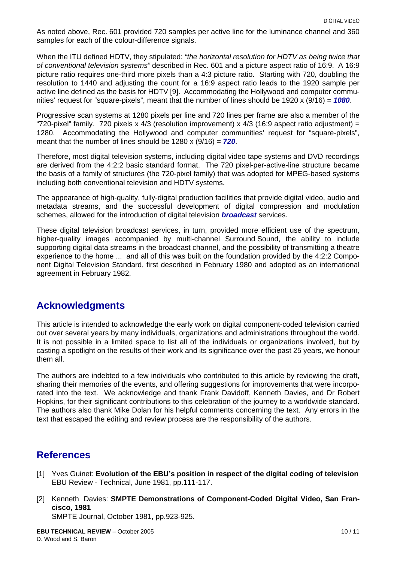As noted above, Rec. 601 provided 720 samples per active line for the luminance channel and 360 samples for each of the colour-difference signals.

When the ITU defined HDTV, they stipulated: *"the horizontal resolution for HDTV as being twice that of conventional television systems"* described in Rec. 601 and a picture aspect ratio of 16:9. A 16:9 picture ratio requires one-third more pixels than a 4:3 picture ratio. Starting with 720, doubling the resolution to 1440 and adjusting the count for a 16:9 aspect ratio leads to the 1920 sample per active line defined as the basis for HDTV [\[9\]](#page-10-6). Accommodating the Hollywood and computer communities' request for "square-pixels", meant that the number of lines should be 1920 x (9/16) = *1080*.

Progressive scan systems at 1280 pixels per line and 720 lines per frame are also a member of the "720-pixel" family. 720 pixels x 4/3 (resolution improvement) x 4/3 (16:9 aspect ratio adjustment) = 1280. Accommodating the Hollywood and computer communities' request for "square-pixels", meant that the number of lines should be 1280 x (9/16) = *720*.

Therefore, most digital television systems, including digital video tape systems and DVD recordings are derived from the 4:2:2 basic standard format. The 720 pixel-per-active-line structure became the basis of a family of structures (the 720-pixel family) that was adopted for MPEG-based systems including both conventional television and HDTV systems.

The appearance of high-quality, fully-digital production facilities that provide digital video, audio and metadata streams, and the successful development of digital compression and modulation schemes, allowed for the introduction of digital television *broadcast* services.

These digital television broadcast services, in turn, provided more efficient use of the spectrum, higher-quality images accompanied by multi-channel Surround Sound, the ability to include supporting digital data streams in the broadcast channel, and the possibility of transmitting a theatre experience to the home ... and all of this was built on the foundation provided by the 4:2:2 Component Digital Television Standard, first described in February 1980 and adopted as an international agreement in February 1982.

### **Acknowledgments**

This article is intended to acknowledge the early work on digital component-coded television carried out over several years by many individuals, organizations and administrations throughout the world. It is not possible in a limited space to list all of the individuals or organizations involved, but by casting a spotlight on the results of their work and its significance over the past 25 years, we honour them all.

The authors are indebted to a few individuals who contributed to this article by reviewing the draft, sharing their memories of the events, and offering suggestions for improvements that were incorporated into the text. We acknowledge and thank Frank Davidoff, Kenneth Davies, and Dr Robert Hopkins, for their significant contributions to this celebration of the journey to a worldwide standard. The authors also thank Mike Dolan for his helpful comments concerning the text. Any errors in the text that escaped the editing and review process are the responsibility of the authors.

# **References**

- <span id="page-9-0"></span>[1] Yves Guinet: **Evolution of the EBU's position in respect of the digital coding of television** EBU Review - Technical, June 1981, pp.111-117.
- <span id="page-9-1"></span>[2] Kenneth Davies: **SMPTE Demonstrations of Component-Coded Digital Video, San Francisco, 1981** SMPTE Journal, October 1981, pp.923-925.